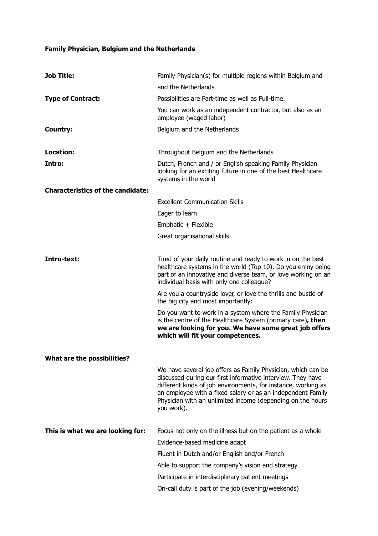## **Family Physician, Belgium and the Netherlands**

| <b>Job Title:</b>                        | Family Physician(s) for multiple regions within Belgium and                                                                                                                                                                                                                                                                             |
|------------------------------------------|-----------------------------------------------------------------------------------------------------------------------------------------------------------------------------------------------------------------------------------------------------------------------------------------------------------------------------------------|
|                                          | and the Netherlands                                                                                                                                                                                                                                                                                                                     |
| <b>Type of Contract:</b>                 | Possibilities are Part-time as well as Full-time.                                                                                                                                                                                                                                                                                       |
|                                          | You can work as an independent contractor, but also as an<br>employee (waged labor)                                                                                                                                                                                                                                                     |
| Country:                                 | Belgium and the Netherlands                                                                                                                                                                                                                                                                                                             |
| Location:                                | Throughout Belgium and the Netherlands                                                                                                                                                                                                                                                                                                  |
| Intro:                                   | Dutch, French and / or English speaking Family Physician<br>looking for an exciting future in one of the best Healthcare<br>systems in the world                                                                                                                                                                                        |
| <b>Characteristics of the candidate:</b> |                                                                                                                                                                                                                                                                                                                                         |
|                                          | <b>Excellent Communication Skills</b>                                                                                                                                                                                                                                                                                                   |
|                                          | Eager to learn                                                                                                                                                                                                                                                                                                                          |
|                                          | Emphatic + Flexible                                                                                                                                                                                                                                                                                                                     |
|                                          | Great organisational skills                                                                                                                                                                                                                                                                                                             |
| Intro-text:                              | Tired of your daily routine and ready to work in on the best<br>healthcare systems in the world (Top 10). Do you enjoy being<br>part of an innovative and diverse team, or love working on an<br>individual basis with only one colleague?                                                                                              |
|                                          | Are you a countryside lover, or love the thrills and bustle of<br>the big city and most importantly:                                                                                                                                                                                                                                    |
|                                          | Do you want to work in a system where the Family Physician<br>is the centre of the Healthcare System (primary care), then<br>we are looking for you. We have some great job offers<br>which will fit your competences.                                                                                                                  |
| What are the possibilities?              |                                                                                                                                                                                                                                                                                                                                         |
|                                          | We have several job offers as Family Physician, which can be<br>discussed during our first informative interview. They have<br>different kinds of job environments, for instance, working as<br>an employee with a fixed salary or as an independent Family<br>Physician with an unlimited income (depending on the hours<br>you work). |
| This is what we are looking for:         | Focus not only on the illness but on the patient as a whole                                                                                                                                                                                                                                                                             |
|                                          | Evidence-based medicine adapt                                                                                                                                                                                                                                                                                                           |
|                                          | Fluent in Dutch and/or English and/or French                                                                                                                                                                                                                                                                                            |
|                                          | Able to support the company's vision and strategy                                                                                                                                                                                                                                                                                       |
|                                          | Participate in interdisciplinary patient meetings                                                                                                                                                                                                                                                                                       |
|                                          | On-call duty is part of the job (evening/weekends)                                                                                                                                                                                                                                                                                      |